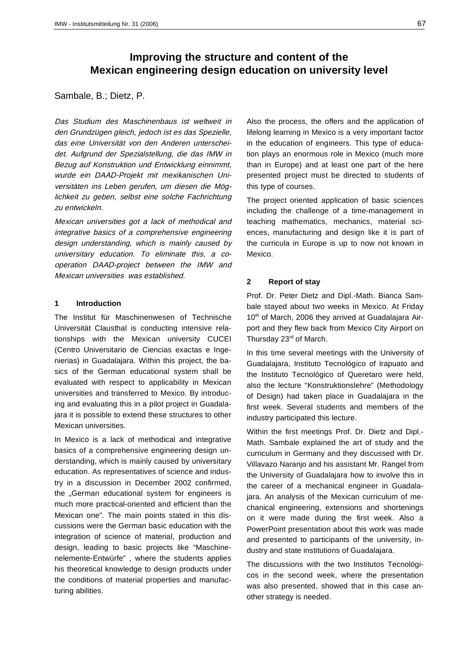# **Improving the structure and content of the Mexican engineering design education on university level**

Sambale, B.; Dietz, P.

Das Studium des Maschinenbaus ist weltweit in den Grundzügen gleich, jedoch ist es das Spezielle, das eine Universität von den Anderen unterscheidet. Aufgrund der Spezialstellung, die das IMW in Bezug auf Konstruktion und Entwicklung einnimmt, wurde ein DAAD-Projekt mit mexikanischen Universitäten ins Leben gerufen, um diesen die Möglichkeit zu geben, selbst eine solche Fachrichtung zu entwickeln.

Mexican universities got a lack of methodical and integrative basics of a comprehensive engineering design understanding, which is mainly caused by universitary education. To eliminate this, a cooperation DAAD-project between the IMW and Mexican universities was established.

## **1 Introduction**

The Institut für Maschinenwesen of Technische Universität Clausthal is conducting intensive relationships with the Mexican university CUCEI (Centro Universitario de Ciencias exactas e Ingenierias) in Guadalajara. Within this project, the basics of the German educational system shall be evaluated with respect to applicability in Mexican universities and transferred to Mexico. By introducing and evaluating this in a pilot project in Guadalajara it is possible to extend these structures to other Mexican universities.

In Mexico is a lack of methodical and integrative basics of a comprehensive engineering design understanding, which is mainly caused by universitary education. As representatives of science and industry in a discussion in December 2002 confirmed, the "German educational system for engineers is much more practical-oriented and efficient than the Mexican one". The main points stated in this discussions were the German basic education with the integration of science of material, production and design, leading to basic projects like "Maschinenelemente-Entwürfe" , where the students applies his theoretical knowledge to design products under the conditions of material properties and manufacturing abilities.

Also the process, the offers and the application of lifelong learning in Mexico is a very important factor in the education of engineers. This type of education plays an enormous role in Mexico (much more than in Europe) and at least one part of the here presented project must be directed to students of this type of courses.

The project oriented application of basic sciences including the challenge of a time-management in teaching mathematics, mechanics, material sciences, manufacturing and design like it is part of the curricula in Europe is up to now not known in Mexico.

## **2 Report of stay**

Prof. Dr. Peter Dietz and Dipl.-Math. Bianca Sambale stayed about two weeks in Mexico. At Friday 10<sup>th</sup> of March, 2006 they arrived at Guadalajara Airport and they flew back from Mexico City Airport on Thursday 23<sup>rd</sup> of March.

In this time several meetings with the University of Guadalajara, Instituto Tecnológico of Irapuato and the Instituto Tecnológico of Queretaro were held, also the lecture "Konstruktionslehre" (Methodology of Design) had taken place in Guadalajara in the first week. Several students and members of the industry participated this lecture.

Within the first meetings Prof. Dr. Dietz and Dipl.- Math. Sambale explained the art of study and the curriculum in Germany and they discussed with Dr. Villavazo Naranjo and his assistant Mr. Rangel from the University of Guadalajara how to involve this in the career of a mechanical engineer in Guadalajara. An analysis of the Mexican curriculum of mechanical engineering, extensions and shortenings on it were made during the first week. Also a PowerPoint presentation about this work was made and presented to participants of the university, industry and state institutions of Guadalajara.

The discussions with the two Institutos Tecnológicos in the second week, where the presentation was also presented, showed that in this case another strategy is needed.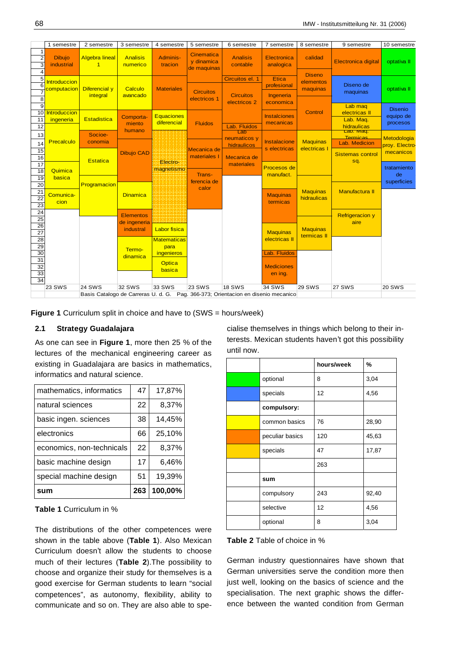|                                                                | 1 semestre                         | 2 semestre                                 | 3 semestre                       | 4 semestre                                | 5 semestre                                     | 6 semestre                                                                        | 7 semestre                       | 8 semestre                             | 9 semestre                                  | 10 semestre                             |
|----------------------------------------------------------------|------------------------------------|--------------------------------------------|----------------------------------|-------------------------------------------|------------------------------------------------|-----------------------------------------------------------------------------------|----------------------------------|----------------------------------------|---------------------------------------------|-----------------------------------------|
| $\mathbf{1}$<br>$\overline{2}$<br>3<br>$\overline{\mathbf{A}}$ | <b>Dibujo</b><br>industrial        | <b>Algebra lineal</b><br>$\overline{1}$    | <b>Analisis</b><br>numerico      | Adminis-<br>tracion                       | <b>Cinematica</b><br>y dinamica<br>de maquinas | <b>Analisis</b><br>contable                                                       | Electronica<br>analogica         | calidad                                | <b>Electronica digital</b>                  | optativa II                             |
| 5<br>$\overline{6}$                                            | <b>Introduccion</b><br>computacion | Diferencial y                              | Calculo                          | <b>Materiales</b>                         |                                                | Circuitos el. 1                                                                   | Etica<br>profesional             | <b>Diseno</b><br>elementos<br>maquinas | Diseno de                                   | optativa II                             |
| 8<br>$\overline{9}$                                            |                                    | integral                                   | avancado                         |                                           | <b>Circuitos</b><br>electricos 1               | <b>Circuitos</b><br>electricos 2                                                  | Ingeneria<br>economica           |                                        | maquinas<br>Lab mag                         |                                         |
| 10<br>11                                                       | Introduccion<br>ingeneria          | <b>Estadistica</b>                         | Comporta-<br>miento              | <b>Equaciones</b><br>diferencial          | <b>Fluidos</b>                                 |                                                                                   | <b>Instalciones</b><br>mecanicas | Control                                | electricas II<br>Lab. Maq.                  | <b>Disenio</b><br>equipo de<br>procesos |
| 12<br>13                                                       |                                    | Socioe-                                    | humano                           |                                           |                                                | Lab. Fluidos<br>Lab<br>neumaticos y                                               |                                  |                                        | hidraulicas<br>Lap. Maq.<br><b>Termicas</b> | Metodologia                             |
| 14<br>15                                                       |                                    | Precalculo<br>conomia<br><b>Dibujo CAD</b> |                                  |                                           | Mecanica de<br>materiales I                    | hidraulicos                                                                       | Instalacione<br>s electricas     | <b>Maquinas</b><br>electricas I        | Lab. Medicion<br><b>Sistemas control</b>    | proy. Electro<br>mecanicos              |
| 16<br>17<br>18                                                 | Quimica                            | Estatica                                   | Electro-<br>magnetismo           |                                           |                                                | Mecanica de<br>materiales                                                         | Procesos de                      |                                        | sq.                                         | tratamiento                             |
| 19<br>20                                                       | basica                             | ferencia de<br>Programacion<br>calor       |                                  | Trans-                                    |                                                |                                                                                   | manufact.                        |                                        |                                             | de<br>superficies                       |
| $\overline{21}$<br>$\overline{22}$<br>23                       | Comunica-<br>cion                  |                                            | <b>Dinamica</b>                  |                                           |                                                |                                                                                   | <b>Maquinas</b><br>termicas      | <b>Maquinas</b><br>hidraulicas         | <b>Manufactura II</b>                       |                                         |
| $\overline{24}$<br>$\overline{25}$                             |                                    |                                            | <b>Elementos</b><br>de ingeneria |                                           |                                                |                                                                                   |                                  |                                        | <b>Refrigeracion y</b><br>aire              |                                         |
| 26<br>$\overline{27}$<br>28                                    |                                    |                                            | industral                        | <b>Labor fisica</b><br><b>Matematicas</b> |                                                |                                                                                   | <b>Maquinas</b><br>electricas II | <b>Maquinas</b><br>termicas II         |                                             |                                         |
| 29<br>30                                                       |                                    |                                            | Termo-<br>dinamica               | para<br>ingenieros                        |                                                |                                                                                   | Lab. Fluidos                     |                                        |                                             |                                         |
| 31<br>32<br>33                                                 |                                    |                                            |                                  | <b>Optica</b><br>basica                   |                                                |                                                                                   | <b>Mediciones</b><br>en ing.     |                                        |                                             |                                         |
| 34                                                             |                                    |                                            |                                  |                                           |                                                |                                                                                   |                                  |                                        |                                             |                                         |
|                                                                | <b>23 SWS</b>                      | <b>24 SWS</b>                              | <b>32 SWS</b>                    | 33 SWS                                    | <b>23 SWS</b>                                  | <b>18 SWS</b>                                                                     | 34 SWS                           | <b>29 SWS</b>                          | 27 SWS                                      | <b>20 SWS</b>                           |
|                                                                |                                    |                                            |                                  |                                           |                                                | Basis Catalogo de Carreras U. d. G. Pag. 366-373; Orientacion en disenio mecanico |                                  |                                        |                                             |                                         |

**Figure 1** Curriculum split in choice and have to (SWS = hours/week)

## **2.1 Strategy Guadalajara**

As one can see in **Figure 1**, more then 25 % of the lectures of the mechanical engineering career as existing in Guadalajara are basics in mathematics, informatics and natural science.

| mathematics, informatics  | 47  | 17,87%  |
|---------------------------|-----|---------|
| natural sciences          | 22  | 8,37%   |
| basic ingen. sciences     | 38  | 14,45%  |
| electronics               | 66  | 25,10%  |
| economics, non-technicals | 22  | 8,37%   |
| basic machine design      | 17  | 6.46%   |
| special machine design    | 51  | 19,39%  |
| sum                       | 263 | 100,00% |

## **Table 1** Curriculum in %

The distributions of the other competences were shown in the table above (**Table 1**). Also Mexican Curriculum doesn't allow the students to choose much of their lectures (**Table 2**).The possibility to choose and organize their study for themselves is a good exercise for German students to learn "social competences", as autonomy, flexibility, ability to communicate and so on. They are also able to specialise themselves in things which belong to their interests. Mexican students haven't got this possibility until now.

|                 | hours/week | %     |
|-----------------|------------|-------|
| optional        | 8          | 3,04  |
| specials        | 12         | 4,56  |
| compulsory:     |            |       |
| common basics   | 76         | 28,90 |
| peculiar basics | 120        | 45,63 |
| specials        | 47         | 17,87 |
|                 | 263        |       |
| sum             |            |       |
| compulsory      | 243        | 92,40 |
| selective       | 12         | 4,56  |
| optional        | 8          | 3,04  |

# **Table 2** Table of choice in %

German industry questionnaires have shown that German universities serve the condition more then just well, looking on the basics of science and the specialisation. The next graphic shows the difference between the wanted condition from German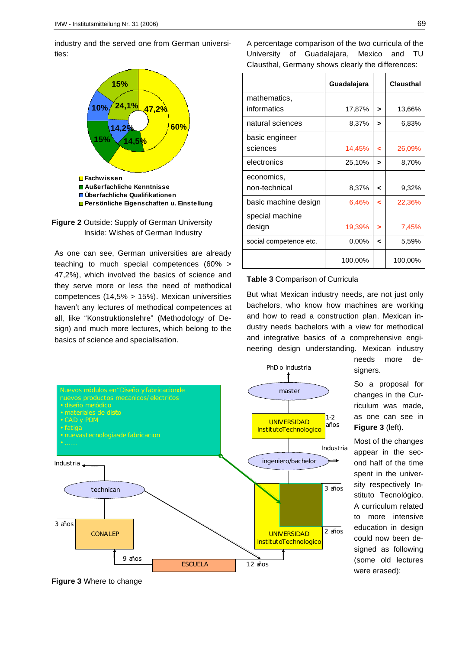industry and the served one from German universities:





As one can see, German universities are already teaching to much special competences (60% > 47,2%), which involved the basics of science and they serve more or less the need of methodical competences (14,5% > 15%). Mexican universities haven't any lectures of methodical competences at all, like "Konstruktionslehre" (Methodology of Design) and much more lectures, which belong to the basics of science and specialisation.

A percentage comparison of the two curricula of the University of Guadalajara, Mexico and TU Clausthal, Germany shows clearly the differences:

|                        | Guadalajara |   | <b>Clausthal</b> |
|------------------------|-------------|---|------------------|
| mathematics,           |             |   |                  |
| informatics            | 17,87%      | > | 13,66%           |
| natural sciences       | 8,37%       | > | 6,83%            |
| basic engineer         |             |   |                  |
| sciences               | 14,45%      | ≺ | 26,09%           |
| electronics            | 25,10%      | > | 8,70%            |
| economics,             |             |   |                  |
| non-technical          | 8,37%       | ≺ | 9,32%            |
| basic machine design   | 6,46%       | ≺ | 22,36%           |
| special machine        |             |   |                  |
| design                 | 19,39%      | > | 7,45%            |
| social competence etc. | $0.00\%$    | ≺ | 5,59%            |
|                        | 100,00%     |   | 100,00%          |

#### **Table 3** Comparison of Curricula

But what Mexican industry needs, are not just only bachelors, who know how machines are working and how to read a construction plan. Mexican industry needs bachelors with a view for methodical and integrative basics of a comprehensive engineering design understanding. Mexican industry



needs more designers.

So a proposal for changes in the Curriculum was made, as one can see in **Figure 3** (left).

Most of the changes appear in the second half of the time spent in the university respectively Instituto Tecnológico. A curriculum related to more intensive education in design could now been designed as following (some old lectures were erased):

**Figure 3** Where to change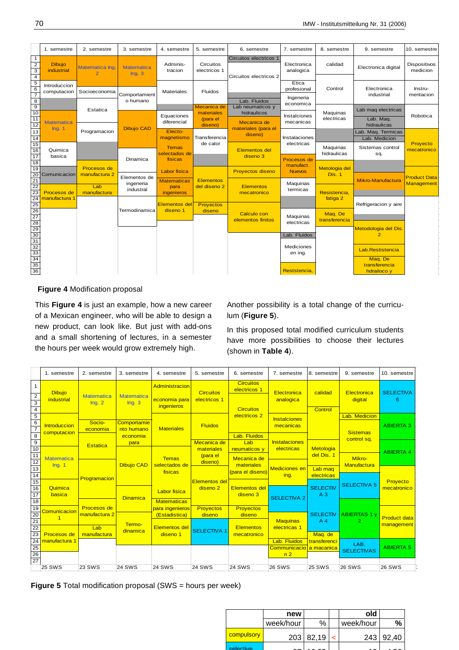|                                                                            | 1. semestre                 | 2. semestre                      | 3. semestre                | 4. semestre                              | 5. semestre                                      | 6. semestre                                    | 7. semestre                            | 8. semestre              | 9. semestre                                    | 10. semestre             |
|----------------------------------------------------------------------------|-----------------------------|----------------------------------|----------------------------|------------------------------------------|--------------------------------------------------|------------------------------------------------|----------------------------------------|--------------------------|------------------------------------------------|--------------------------|
|                                                                            |                             |                                  |                            |                                          |                                                  |                                                |                                        |                          |                                                |                          |
| $\mathbf{1}$<br>$\begin{array}{c}\n2 \\ \hline\n3 \\ 4\n\end{array}$       | <b>Dibujo</b><br>industrial | Matematica Ing<br>$\overline{2}$ | <b>Matematica</b><br>Ing.3 | Adminis-<br>tracion                      | Circuitos<br>electricos 1                        | Circuitos electricos<br>Circuitos electricos 2 | Electronica<br>analogica               | calidad                  | Electronica digital                            | Dispositivos<br>medicion |
| $\overline{5}$<br>6<br>$\overline{\phantom{a}}$<br>$\overline{\mathbf{8}}$ | Introduccion<br>computacion | Socioeconomia                    | Comportamient<br>o humano  | Materiales                               | Fluidos                                          | Lab. Fluidos                                   | Etica<br>profesional<br>Ingeneria      | Control                  | Electronica<br>industrial                      | Instru-<br>mentacion     |
| $\overline{9}$<br>10<br>11                                                 | <b>Matematica</b>           | Estatica                         |                            | Equaciones<br>diferencial                | Mecanica de<br>materiales<br>(para el<br>diseno) | Lab neumaticos y<br>hidraulicos<br>Mecanica de | economica<br>Instalciones<br>mecanicas | Maguinas<br>electricas   | Lab mag electricas<br>Lab. Maq.<br>hidraulicas | Robotica                 |
| $\frac{12}{13}$<br>14                                                      | Ing. 1                      | Programacion                     | <b>Dibujo CAD</b>          | Electo-<br>magnetismo                    | Transferencia                                    | materiales (para el<br>diseno)                 | Instalaciones                          |                          | Lab. Maq. Termicas<br>Lab. Medicion            |                          |
| $\frac{15}{16}$<br>17                                                      | Quimica<br>basica           |                                  | Dinamica                   | <b>Temas</b><br>selectados de<br>fisicas | de calor                                         | <b>Elementos del</b><br>diseno 3               | electricas<br>Procesos de              | Maquinas<br>hidraulicas  | Sistemas control<br>sq.                        | Proyecto<br>mecatronico  |
| 18<br>$\overline{19}$<br>20                                                | Comunicacion                | Procesos de<br>manufactura 2     | Elementos de               | Labor fisica                             |                                                  | <b>Provectos diseno</b>                        | manufact.<br><b>Nuevos</b>             | Metologia del<br>Dis. 1  |                                                | <b>Product Data</b>      |
| 21<br>22<br>23                                                             | Procesos de                 | Lab<br>manufactura               | ingeneria<br>industral     | <b>Matematicas</b><br>para<br>ingenieros | <b>Elementos</b><br>del diseno 2                 | Elementos<br>mecatronico                       | Maquinas<br>termicas                   | Resistencia.             | Mikro-Manufactura                              | <b>Management</b>        |
| 24                                                                         | manufactura 1               |                                  | Termodinamica              | <b>Elementos del</b><br>diseno 1         | Proyectos<br>diseno                              |                                                |                                        | fatiga 2                 | Refrigeracion y aire                           |                          |
|                                                                            |                             |                                  |                            |                                          |                                                  | Calculo con<br>elementos finitos               | Maquinas<br>electricas                 | Maq. De<br>transferencia |                                                |                          |
|                                                                            |                             |                                  |                            |                                          |                                                  |                                                | Lab. Fluidos                           |                          | Metodologia del Dis<br>$\mathbf{2}$            |                          |
|                                                                            |                             |                                  |                            |                                          |                                                  |                                                | Mediciones<br>en ing.                  |                          | Lab. Restistencia<br>Maq. De                   |                          |
|                                                                            |                             |                                  |                            |                                          |                                                  |                                                | Reststencia,                           |                          | transferencia<br>hdrailoco y                   |                          |

**Figure 4** Modification proposal

This **Figure 4** is just an example, how a new career of a Mexican engineer, who will be able to design a new product, can look like. But just with add-ons and a small shortening of lectures, in a semester the hours per week would grow extremely high.

Another possibility is a total change of the curriculum (**Figure 5**).

In this proposed total modified curriculum students have more possibilities to choose their lectures (shown in **Table 4**).

|                                                                               | 1. semestre                        | 2. semestre                  | 3. semestre                                            | 4. semestre                                   | 5. semestre                                 | 6. semestre                                          | 7. semestre                             | 8. semestre                       | 9. semestre                           | 10. semestre            |
|-------------------------------------------------------------------------------|------------------------------------|------------------------------|--------------------------------------------------------|-----------------------------------------------|---------------------------------------------|------------------------------------------------------|-----------------------------------------|-----------------------------------|---------------------------------------|-------------------------|
| $rac{2}{3}$<br>$\overline{4}$                                                 | <b>Dibujo</b><br>industrial        | <b>Matematica</b><br>Inq.2   | <b>Matematica</b><br>Inq.3                             | Administracion<br>economia para<br>ingenieros | <b>Circuitos</b><br>electricos 1            | <b>Circuitos</b><br>electricos 1<br><b>Circuitos</b> | Electronica<br>analogica                | calidad<br>Control                | Electronica<br>digital                | <b>SELECTIVA</b><br>6   |
| 5<br>$\overline{6}$<br>$\overline{7}$<br>$\overline{\overline{\overline{8}}}$ | <b>Introduccion</b><br>computacion | Socio-<br>economia           | Comportamie<br>nto humano<br>economia                  | <b>Materiales</b>                             | <b>Fluidos</b>                              | electricos 2<br>Lab. Fluidos                         | <b>Instalciones</b><br>mecanicas        |                                   | Lab. Medicion<br><b>Sistemas</b>      | <b>ABIERTA 3</b>        |
| 9<br>10                                                                       |                                    | <b>Estatica</b>              | para                                                   | Mecanica de                                   |                                             | Lab<br>neumaticos y                                  | <b>Instalaciones</b><br>electricas      | Metologia<br>del Dis. 1           | control sq.                           | <b>ABIERTA 4</b>        |
| $\frac{11}{12}$<br>$\frac{12}{13}$                                            | <b>Matematica</b><br>Ing. 1        |                              | <b>Dibujo CAD</b>                                      | <b>Temas</b><br>selectados de<br>fisicas      | (para el<br>diseno)                         | Mecanica de<br>materiales<br>(para el diseno)        | <b>Mediciones</b> en<br>ing.            | Lab mag<br>electricas             | Mikro-<br>Manufactura                 |                         |
| $\frac{15}{16}$<br>17                                                         | Quimica<br>basica                  | Programacion                 | <b>Dinamica</b>                                        | <b>Labor fisica</b>                           | <b>Elementos del</b><br>diseno <sub>2</sub> | <b>Elementos del</b><br>diseno 3                     | <b>SELECTIVA 2</b>                      | <b>SELECTIV</b><br>A <sub>3</sub> | <b>SELECTIVA 5</b>                    | Proyecto<br>mecatronico |
| 18<br>19<br>20<br>21                                                          | Comunicacion                       | Procesos de<br>manufactura 2 | <b>Matematicas</b><br>para ingenieros<br>(Estadistica) |                                               | Proyectos<br>diseno                         | <b>Provectos</b><br>diseno                           | <b>Maquinas</b>                         | <b>SELECTIV</b><br>A <sub>4</sub> | <b>ABIERTAS 1 v</b><br>$\overline{2}$ | <b>Product data</b>     |
| $\overline{22}$<br>23<br>24                                                   | Procesos de<br>manufactura 1       | Lab<br>manufactura           | Termo-<br>dinamica                                     | <b>Elementos del</b><br>diseno 1              | <b>SELECTIVA 1</b>                          | Elementos<br>mecatronico                             | electricas <sub>1</sub><br>Lab. Fluidos | Maq. de<br>transferenci           |                                       | management              |
| 25<br>$\frac{26}{27}$                                                         |                                    |                              |                                                        |                                               | Communicacio la macanica<br>n <sub>2</sub>  |                                                      | LAB.<br><b>SELECTIVAS</b>               |                                   | <b>ABIERTA 5</b>                      |                         |
|                                                                               | <b>25 SWS</b>                      | <b>23 SWS</b>                | <b>24 SWS</b>                                          | <b>24 SWS</b>                                 | <b>24 SWS</b>                               | <b>24 SWS</b>                                        | <b>26 SWS</b>                           | <b>25 SWS</b>                     | <b>26 SWS</b>                         | <b>26 SWS</b>           |

**Figure 5** Total modification proposal (SWS = hours per week)

|            | new       |                  | old       |        |
|------------|-----------|------------------|-----------|--------|
|            | week/hour | $\%$             | week/hour | %      |
| compulsory |           | $203 \mid 82,19$ | 243       | 192.40 |
| selective  |           |                  |           |        |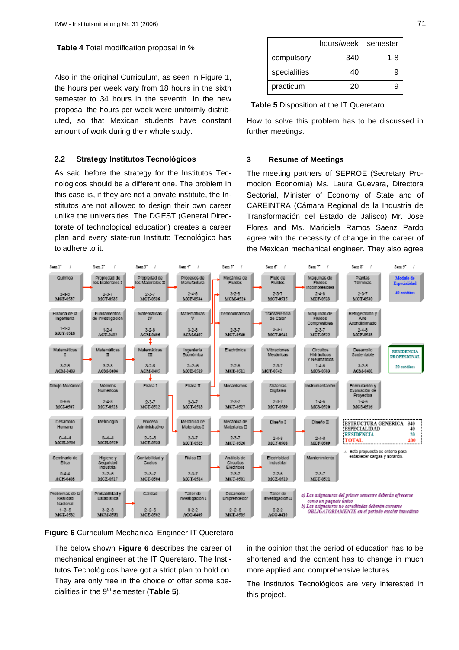## **Table 4** Total modification proposal in %

Also in the original Curriculum, as seen in Figure 1, the hours per week vary from 18 hours in the sixth semester to 34 hours in the seventh. In the new proposal the hours per week were uniformly distributed, so that Mexican students have constant amount of work during their whole study.

## **2.2 Strategy Institutos Tecnológicos**

As said before the strategy for the Institutos Tecnológicos should be a different one. The problem in this case is, if they are not a private institute, the Institutos are not allowed to design their own career unlike the universities. The DGEST (General Directorate of technological education) creates a career plan and every state-run Instituto Tecnológico has to adhere to it.

|              | hours/week | semester |
|--------------|------------|----------|
| compulsory   | 340        | 1-8      |
| specialities | 40         | 9        |
| practicum    | 20         | Ч        |

**Table 5** Disposition at the IT Queretaro

How to solve this problem has to be discussed in further meetings.

#### **3 Resume of Meetings**

The meeting partners of SEPROE (Secretary Promocion Economía) Ms. Laura Guevara, Directora Sectorial, Minister of Economy of State and of CAREINTRA (Cámara Regional de la Industria de Transformación del Estado de Jalisco) Mr. Jose Flores and Ms. Mariciela Ramos Saenz Pardo agree with the necessity of change in the career of the Mexican mechanical engineer. They also agree



## **Figure 6** Curriculum Mechanical Engineer IT Queretaro

The below shown **Figure 6** describes the career of mechanical engineer at the IT Queretaro. The Institutos Tecnológicos have got a strict plan to hold on. They are only free in the choice of offer some specialities in the 9<sup>th</sup> semester (Table 5).

in the opinion that the period of education has to be shortened and the content has to change in much more applied and comprehensive lectures.

The Institutos Tecnológicos are very interested in this project.